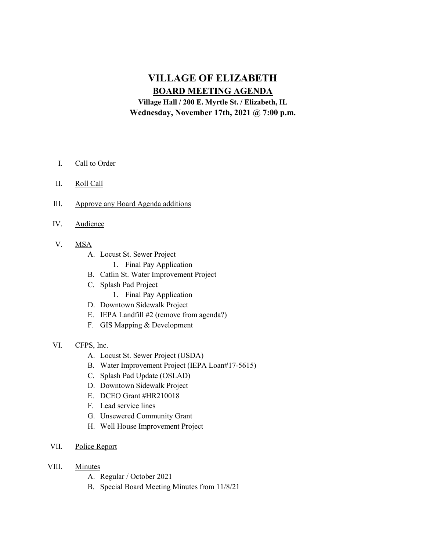# VILLAGE OF ELIZABETH BOARD MEETING AGENDA

Village Hall / 200 E. Myrtle St. / Elizabeth, IL Wednesday, November 17th, 2021 @ 7:00 p.m.

- I. Call to Order
- II. Roll Call
- III. Approve any Board Agenda additions
- IV. Audience
- V. MSA
	- A. Locust St. Sewer Project
		- 1. Final Pay Application
	- B. Catlin St. Water Improvement Project
	- C. Splash Pad Project
		- 1. Final Pay Application
	- D. Downtown Sidewalk Project
	- E. IEPA Landfill #2 (remove from agenda?)
	- F. GIS Mapping & Development
- VI. CFPS, Inc.
	- A. Locust St. Sewer Project (USDA)
	- B. Water Improvement Project (IEPA Loan#17-5615)
	- C. Splash Pad Update (OSLAD)
	- D. Downtown Sidewalk Project
	- E. DCEO Grant #HR210018
	- F. Lead service lines
	- G. Unsewered Community Grant
	- H. Well House Improvement Project
- VII. Police Report
- VIII. Minutes
	- A. Regular / October 2021
	- B. Special Board Meeting Minutes from 11/8/21